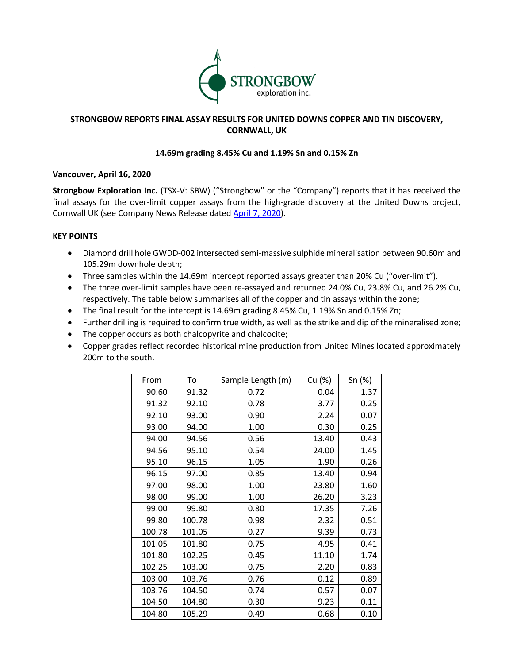

# **STRONGBOW REPORTS FINAL ASSAY RESULTS FOR UNITED DOWNS COPPER AND TIN DISCOVERY, CORNWALL, UK**

# **14.69m grading 8.45% Cu and 1.19% Sn and 0.15% Zn**

# **Vancouver, April 16, 2020**

**Strongbow Exploration Inc.** (TSX-V: SBW) ("Strongbow" or the "Company") reports that it has received the final assays for the over-limit copper assays from the high-grade discovery at the United Downs project, Cornwall UK (see Company News Release dated April 7, 2020).

# **KEY POINTS**

- Diamond drill hole GWDD-002 intersected semi-massive sulphide mineralisation between 90.60m and 105.29m downhole depth;
- Three samples within the 14.69m intercept reported assays greater than 20% Cu ("over-limit").
- The three over-limit samples have been re-assayed and returned 24.0% Cu, 23.8% Cu, and 26.2% Cu, respectively. The table below summarises all of the copper and tin assays within the zone;
- The final result for the intercept is 14.69m grading 8.45% Cu, 1.19% Sn and 0.15% Zn;
- Further drilling is required to confirm true width, as well as the strike and dip of the mineralised zone;
- The copper occurs as both chalcopyrite and chalcocite;
- Copper grades reflect recorded historical mine production from United Mines located approximately 200m to the south.

| From   | To     | Sample Length (m) | Cu (%) | Sn (%) |
|--------|--------|-------------------|--------|--------|
| 90.60  | 91.32  | 0.72              | 0.04   | 1.37   |
| 91.32  | 92.10  | 0.78              | 3.77   | 0.25   |
| 92.10  | 93.00  | 0.90              | 2.24   | 0.07   |
| 93.00  | 94.00  | 1.00              | 0.30   | 0.25   |
| 94.00  | 94.56  | 0.56              | 13.40  | 0.43   |
| 94.56  | 95.10  | 0.54              | 24.00  | 1.45   |
| 95.10  | 96.15  | 1.05              | 1.90   | 0.26   |
| 96.15  | 97.00  | 0.85              | 13.40  | 0.94   |
| 97.00  | 98.00  | 1.00              | 23.80  | 1.60   |
| 98.00  | 99.00  | 1.00              | 26.20  | 3.23   |
| 99.00  | 99.80  | 0.80              | 17.35  | 7.26   |
| 99.80  | 100.78 | 0.98              | 2.32   | 0.51   |
| 100.78 | 101.05 | 0.27              | 9.39   | 0.73   |
| 101.05 | 101.80 | 0.75              | 4.95   | 0.41   |
| 101.80 | 102.25 | 0.45              | 11.10  | 1.74   |
| 102.25 | 103.00 | 0.75              | 2.20   | 0.83   |
| 103.00 | 103.76 | 0.76              | 0.12   | 0.89   |
| 103.76 | 104.50 | 0.74              | 0.57   | 0.07   |
| 104.50 | 104.80 | 0.30              | 9.23   | 0.11   |
| 104.80 | 105.29 | 0.49              | 0.68   | 0.10   |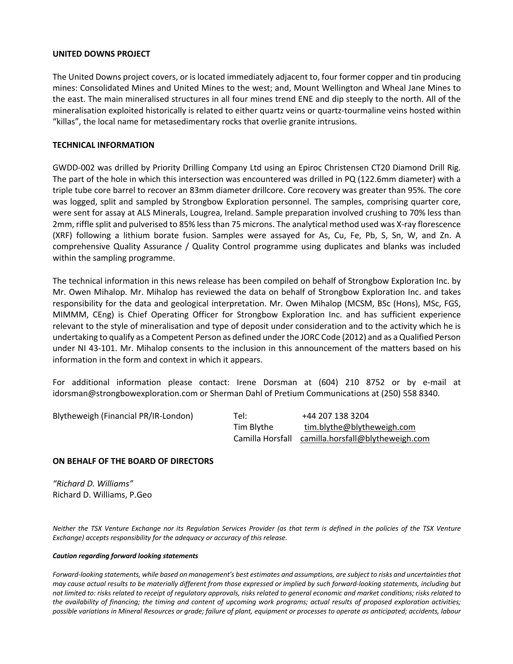#### **UNITED DOWNS PROJECT**

The United Downs project covers, or is located immediately adjacent to, four former copper and tin producing mines: Consolidated Mines and United Mines to the west; and, Mount Wellington and Wheal Jane Mines to the east. The main mineralised structures in all four mines trend ENE and dip steeply to the north. All of the mineralisation exploited historically is related to either quartz veins or quartz-tourmaline veins hosted within "killas", the local name for metasedimentary rocks that overlie granite intrusions.

### **TECHNICAL INFORMATION**

GWDD-002 was drilled by Priority Drilling Company Ltd using an Epiroc Christensen CT20 Diamond Drill Rig. The part of the hole in which this intersection was encountered was drilled in PQ (122.6mm diameter) with a triple tube core barrel to recover an 83mm diameter drillcore. Core recovery was greater than 95%. The core was logged, split and sampled by Strongbow Exploration personnel. The samples, comprising quarter core, were sent for assay at ALS Minerals, Lougrea, Ireland. Sample preparation involved crushing to 70% less than 2mm, riffle split and pulverised to 85% less than 75 microns. The analytical method used was X-ray florescence (XRF) following a lithium borate fusion. Samples were assayed for As, Cu, Fe, Pb, S, Sn, W, and Zn. A comprehensive Quality Assurance / Quality Control programme using duplicates and blanks was included within the sampling programme.

The technical information in this news release has been compiled on behalf of Strongbow Exploration Inc. by Mr. Owen Mihalop. Mr. Mihalop has reviewed the data on behalf of Strongbow Exploration Inc. and takes responsibility for the data and geological interpretation. Mr. Owen Mihalop (MCSM, BSc (Hons), MSc, FGS, MIMMM, CEng) is Chief Operating Officer for Strongbow Exploration Inc. and has sufficient experience relevant to the style of mineralisation and type of deposit under consideration and to the activity which he is undertaking to qualify as a Competent Person as defined under the JORC Code (2012) and as a Qualified Person under NI 43-101. Mr. Mihalop consents to the inclusion in this announcement of the matters based on his information in the form and context in which it appears.

For additional information please contact: Irene Dorsman at (604) 210 8752 or by e-mail at idorsman@strongbowexploration.com or Sherman Dahl of Pretium Communications at (250) 558 8340.

| Blytheweigh (Financial PR/IR-London) | Tel:       | +44 207 138 3204                                  |
|--------------------------------------|------------|---------------------------------------------------|
|                                      | Tim Blythe | tim.blythe@blytheweigh.com                        |
|                                      |            | Camilla Horsfall camilla.horsfall@blytheweigh.com |

# **ON BEHALF OF THE BOARD OF DIRECTORS**

*"Richard D. Williams"* Richard D. Williams, P.Geo

*Neither the TSX Venture Exchange nor its Regulation Services Provider (as that term is defined in the policies of the TSX Venture Exchange) accepts responsibility for the adequacy or accuracy of this release.*

#### *Caution regarding forward looking statements*

*Forward-looking statements, while based on management's best estimates and assumptions, are subject to risks and uncertainties that may cause actual results to be materially different from those expressed or implied by such forward-looking statements, including but not limited to: risks related to receipt of regulatory approvals, risks related to general economic and market conditions; risks related to the availability of financing; the timing and content of upcoming work programs; actual results of proposed exploration activities; possible variations in Mineral Resources or grade; failure of plant, equipment or processes to operate as anticipated; accidents, labour*